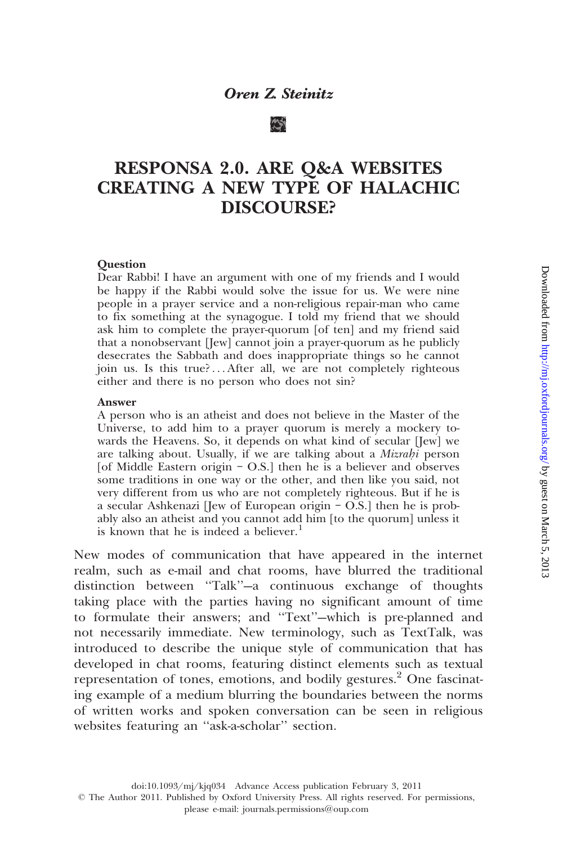# RESPONSA 2.0. ARE Q&A WEBSITES CREATING A NEW TYPE OF HALACHIC DISCOURSE?

# **Question**

Dear Rabbi! I have an argument with one of my friends and I would be happy if the Rabbi would solve the issue for us. We were nine people in a prayer service and a non-religious repair-man who came to fix something at the synagogue. I told my friend that we should ask him to complete the prayer-quorum [of ten] and my friend said that a nonobservant [Jew] cannot join a prayer-quorum as he publicly desecrates the Sabbath and does inappropriate things so he cannot join us. Is this true?... After all, we are not completely righteous either and there is no person who does not sin?

#### Answer

A person who is an atheist and does not believe in the Master of the Universe, to add him to a prayer quorum is merely a mockery towards the Heavens. So, it depends on what kind of secular [Jew] we are talking about. Usually, if we are talking about a *Mizrahi* person [of Middle Eastern origin – O.S.] then he is a believer and observes some traditions in one way or the other, and then like you said, not very different from us who are not completely righteous. But if he is a secular Ashkenazi [Jew of European origin – O.S.] then he is probably also an atheist and you cannot add him [to the quorum] unless it is known that he is indeed a believer.<sup>1</sup>

New modes of communication that have appeared in the internet realm, such as e-mail and chat rooms, have blurred the traditional distinction between ''Talk''—a continuous exchange of thoughts taking place with the parties having no significant amount of time to formulate their answers; and ''Text''—which is pre-planned and not necessarily immediate. New terminology, such as TextTalk, was introduced to describe the unique style of communication that has developed in chat rooms, featuring distinct elements such as textual representation of tones, emotions, and bodily gestures.<sup>2</sup> One fascinating example of a medium blurring the boundaries between the norms of written works and spoken conversation can be seen in religious websites featuring an ''ask-a-scholar'' section.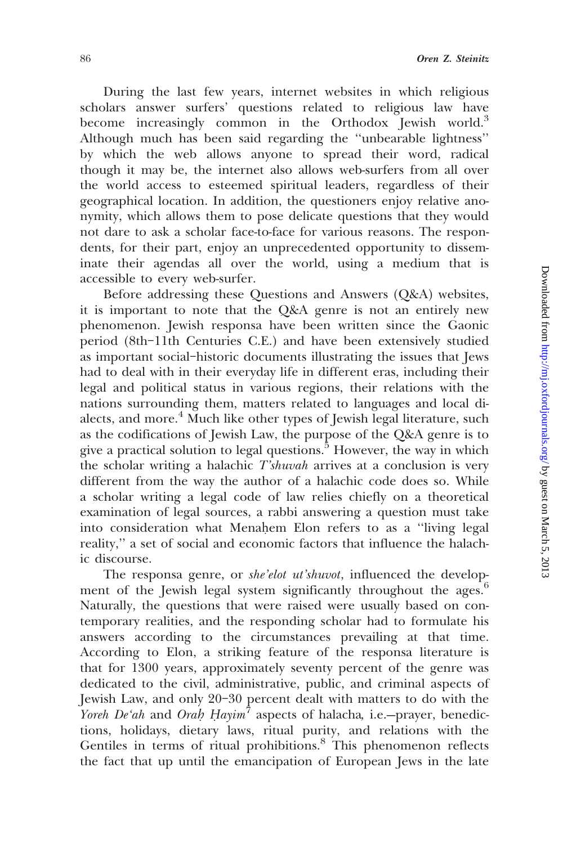During the last few years, internet websites in which religious scholars answer surfers' questions related to religious law have become increasingly common in the Orthodox Jewish world.<sup>3</sup> Although much has been said regarding the ''unbearable lightness'' by which the web allows anyone to spread their word, radical though it may be, the internet also allows web-surfers from all over the world access to esteemed spiritual leaders, regardless of their geographical location. In addition, the questioners enjoy relative anonymity, which allows them to pose delicate questions that they would not dare to ask a scholar face-to-face for various reasons. The respondents, for their part, enjoy an unprecedented opportunity to disseminate their agendas all over the world, using a medium that is accessible to every web-surfer.

Before addressing these Questions and Answers (Q&A) websites, it is important to note that the Q&A genre is not an entirely new phenomenon. Jewish responsa have been written since the Gaonic period (8th–11th Centuries C.E.) and have been extensively studied as important social–historic documents illustrating the issues that Jews had to deal with in their everyday life in different eras, including their legal and political status in various regions, their relations with the nations surrounding them, matters related to languages and local dialects, and more. $4$  Much like other types of Jewish legal literature, such as the codifications of Jewish Law, the purpose of the Q&A genre is to give a practical solution to legal questions.<sup>5</sup> However, the way in which the scholar writing a halachic T'shuvah arrives at a conclusion is very different from the way the author of a halachic code does so. While a scholar writing a legal code of law relies chiefly on a theoretical examination of legal sources, a rabbi answering a question must take into consideration what Menahem Elon refers to as a "living legal reality,'' a set of social and economic factors that influence the halachic discourse.

The responsa genre, or *she'elot ut'shuvot*, influenced the development of the Jewish legal system significantly throughout the ages.<sup>6</sup> Naturally, the questions that were raised were usually based on contemporary realities, and the responding scholar had to formulate his answers according to the circumstances prevailing at that time. According to Elon, a striking feature of the responsa literature is that for 1300 years, approximately seventy percent of the genre was dedicated to the civil, administrative, public, and criminal aspects of Jewish Law, and only 20–30 percent dealt with matters to do with the Yoreh De'ah and Orah Hayim<sup>7</sup> aspects of halacha, i.e.-prayer, benedictions, holidays, dietary laws, ritual purity, and relations with the Gentiles in terms of ritual prohibitions.<sup>8</sup> This phenomenon reflects the fact that up until the emancipation of European Jews in the late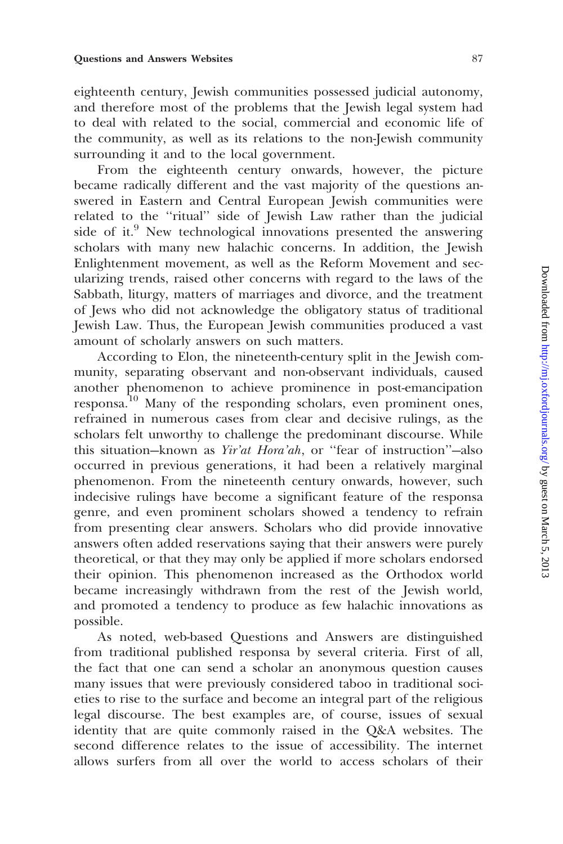eighteenth century, Jewish communities possessed judicial autonomy, and therefore most of the problems that the Jewish legal system had to deal with related to the social, commercial and economic life of the community, as well as its relations to the non-Jewish community surrounding it and to the local government.

From the eighteenth century onwards, however, the picture became radically different and the vast majority of the questions answered in Eastern and Central European Jewish communities were related to the ''ritual'' side of Jewish Law rather than the judicial side of it. $9$  New technological innovations presented the answering scholars with many new halachic concerns. In addition, the Jewish Enlightenment movement, as well as the Reform Movement and secularizing trends, raised other concerns with regard to the laws of the Sabbath, liturgy, matters of marriages and divorce, and the treatment of Jews who did not acknowledge the obligatory status of traditional Jewish Law. Thus, the European Jewish communities produced a vast amount of scholarly answers on such matters.

According to Elon, the nineteenth-century split in the Jewish community, separating observant and non-observant individuals, caused another phenomenon to achieve prominence in post-emancipation responsa.<sup>10</sup> Many of the responding scholars, even prominent ones, refrained in numerous cases from clear and decisive rulings, as the scholars felt unworthy to challenge the predominant discourse. While this situation—known as Yir'at Hora'ah, or ''fear of instruction''—also occurred in previous generations, it had been a relatively marginal phenomenon. From the nineteenth century onwards, however, such indecisive rulings have become a significant feature of the responsa genre, and even prominent scholars showed a tendency to refrain from presenting clear answers. Scholars who did provide innovative answers often added reservations saying that their answers were purely theoretical, or that they may only be applied if more scholars endorsed their opinion. This phenomenon increased as the Orthodox world became increasingly withdrawn from the rest of the Jewish world, and promoted a tendency to produce as few halachic innovations as possible.

As noted, web-based Questions and Answers are distinguished from traditional published responsa by several criteria. First of all, the fact that one can send a scholar an anonymous question causes many issues that were previously considered taboo in traditional societies to rise to the surface and become an integral part of the religious legal discourse. The best examples are, of course, issues of sexual identity that are quite commonly raised in the Q&A websites. The second difference relates to the issue of accessibility. The internet allows surfers from all over the world to access scholars of their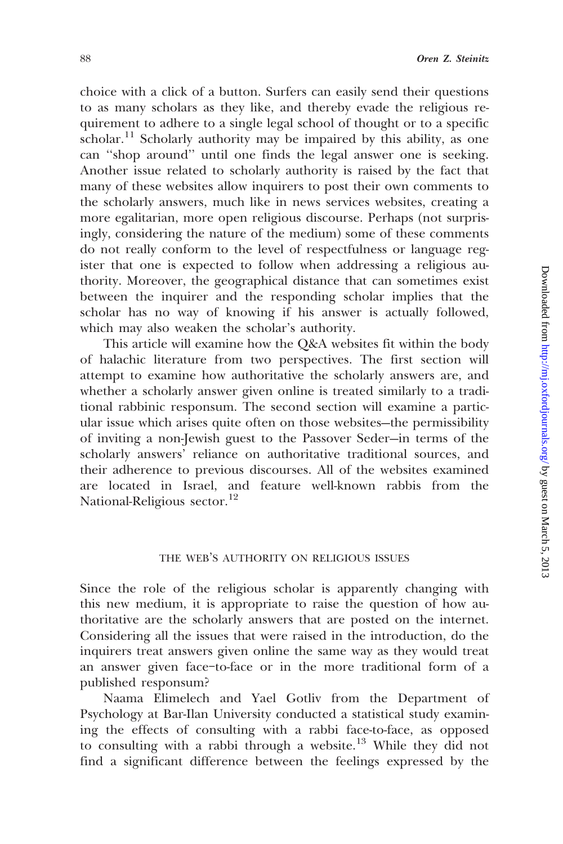choice with a click of a button. Surfers can easily send their questions to as many scholars as they like, and thereby evade the religious requirement to adhere to a single legal school of thought or to a specific  $scholar<sup>11</sup> Scholarly authority may be impaired by this ability, as one$ can ''shop around'' until one finds the legal answer one is seeking. Another issue related to scholarly authority is raised by the fact that many of these websites allow inquirers to post their own comments to the scholarly answers, much like in news services websites, creating a more egalitarian, more open religious discourse. Perhaps (not surprisingly, considering the nature of the medium) some of these comments do not really conform to the level of respectfulness or language register that one is expected to follow when addressing a religious authority. Moreover, the geographical distance that can sometimes exist between the inquirer and the responding scholar implies that the scholar has no way of knowing if his answer is actually followed, which may also weaken the scholar's authority.

This article will examine how the Q&A websites fit within the body of halachic literature from two perspectives. The first section will attempt to examine how authoritative the scholarly answers are, and whether a scholarly answer given online is treated similarly to a traditional rabbinic responsum. The second section will examine a particular issue which arises quite often on those websites—the permissibility of inviting a non-Jewish guest to the Passover Seder—in terms of the scholarly answers' reliance on authoritative traditional sources, and their adherence to previous discourses. All of the websites examined are located in Israel, and feature well-known rabbis from the National-Religious sector.<sup>12</sup>

# THE WEB'S AUTHORITY ON RELIGIOUS ISSUES

Since the role of the religious scholar is apparently changing with this new medium, it is appropriate to raise the question of how authoritative are the scholarly answers that are posted on the internet. Considering all the issues that were raised in the introduction, do the inquirers treat answers given online the same way as they would treat an answer given face–to-face or in the more traditional form of a published responsum?

Naama Elimelech and Yael Gotliv from the Department of Psychology at Bar-Ilan University conducted a statistical study examining the effects of consulting with a rabbi face-to-face, as opposed to consulting with a rabbi through a website.<sup>13</sup> While they did not find a significant difference between the feelings expressed by the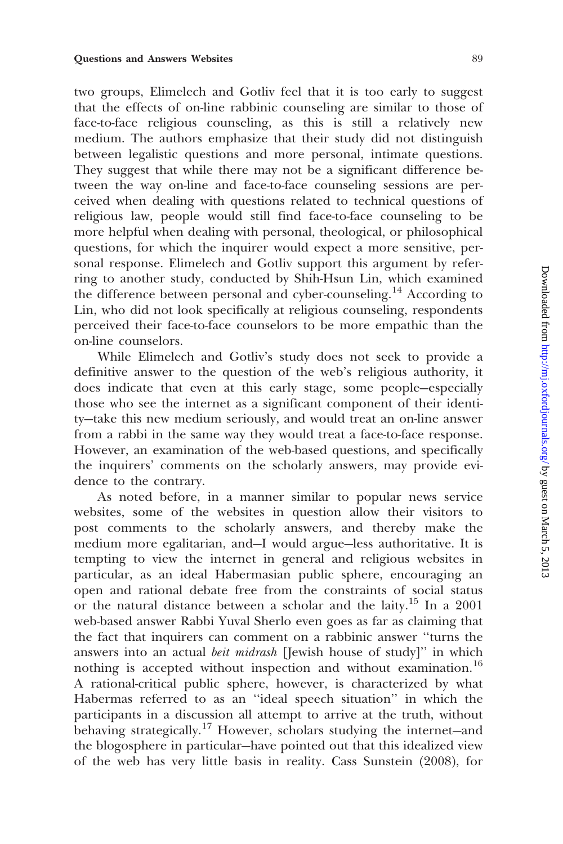two groups, Elimelech and Gotliv feel that it is too early to suggest that the effects of on-line rabbinic counseling are similar to those of face-to-face religious counseling, as this is still a relatively new medium. The authors emphasize that their study did not distinguish between legalistic questions and more personal, intimate questions. They suggest that while there may not be a significant difference between the way on-line and face-to-face counseling sessions are perceived when dealing with questions related to technical questions of religious law, people would still find face-to-face counseling to be more helpful when dealing with personal, theological, or philosophical questions, for which the inquirer would expect a more sensitive, personal response. Elimelech and Gotliv support this argument by referring to another study, conducted by Shih-Hsun Lin, which examined the difference between personal and cyber-counseling.<sup>14</sup> According to Lin, who did not look specifically at religious counseling, respondents perceived their face-to-face counselors to be more empathic than the on-line counselors.

While Elimelech and Gotliv's study does not seek to provide a definitive answer to the question of the web's religious authority, it does indicate that even at this early stage, some people—especially those who see the internet as a significant component of their identity—take this new medium seriously, and would treat an on-line answer from a rabbi in the same way they would treat a face-to-face response. However, an examination of the web-based questions, and specifically the inquirers' comments on the scholarly answers, may provide evidence to the contrary.

As noted before, in a manner similar to popular news service websites, some of the websites in question allow their visitors to post comments to the scholarly answers, and thereby make the medium more egalitarian, and—I would argue—less authoritative. It is tempting to view the internet in general and religious websites in particular, as an ideal Habermasian public sphere, encouraging an open and rational debate free from the constraints of social status or the natural distance between a scholar and the laity.<sup>15</sup> In a 2001 web-based answer Rabbi Yuval Sherlo even goes as far as claiming that the fact that inquirers can comment on a rabbinic answer ''turns the answers into an actual beit midrash [Jewish house of study]'' in which nothing is accepted without inspection and without examination.<sup>16</sup> A rational-critical public sphere, however, is characterized by what Habermas referred to as an ''ideal speech situation'' in which the participants in a discussion all attempt to arrive at the truth, without behaving strategically.<sup>17</sup> However, scholars studying the internet-and the blogosphere in particular—have pointed out that this idealized view of the web has very little basis in reality. Cass Sunstein (2008), for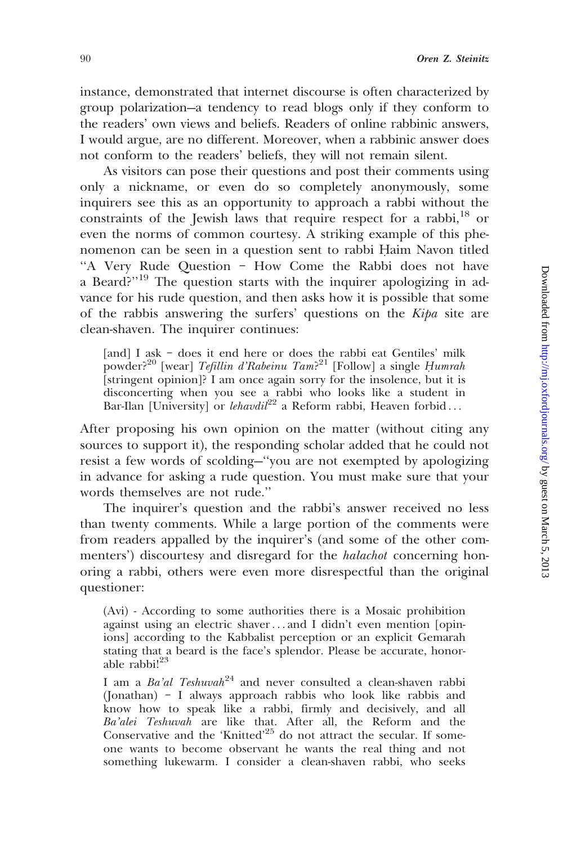instance, demonstrated that internet discourse is often characterized by group polarization—a tendency to read blogs only if they conform to the readers' own views and beliefs. Readers of online rabbinic answers, I would argue, are no different. Moreover, when a rabbinic answer does not conform to the readers' beliefs, they will not remain silent.

As visitors can pose their questions and post their comments using only a nickname, or even do so completely anonymously, some inquirers see this as an opportunity to approach a rabbi without the constraints of the Jewish laws that require respect for a rabbi, $^{18}$  or even the norms of common courtesy. A striking example of this phenomenon can be seen in a question sent to rabbi Eaim Navon titled ''A Very Rude Question – How Come the Rabbi does not have a Beard?''<sup>19</sup> The question starts with the inquirer apologizing in advance for his rude question, and then asks how it is possible that some of the rabbis answering the surfers' questions on the Kipa site are clean-shaven. The inquirer continues:

[and] I ask - does it end here or does the rabbi eat Gentiles' milk powder?<sup>20</sup> [wear] Tefillin d'Rabeinu Tam?<sup>21</sup> [Follow] a single Humrah [stringent opinion]? I am once again sorry for the insolence, but it is disconcerting when you see a rabbi who looks like a student in<br>Bar-Ilan [University] or *lehavdil<sup>22</sup>* a Reform rabbi, Heaven forbid...

After proposing his own opinion on the matter (without citing any sources to support it), the responding scholar added that he could not resist a few words of scolding—''you are not exempted by apologizing in advance for asking a rude question. You must make sure that your words themselves are not rude.''

The inquirer's question and the rabbi's answer received no less than twenty comments. While a large portion of the comments were from readers appalled by the inquirer's (and some of the other commenters') discourtesy and disregard for the halachot concerning honoring a rabbi, others were even more disrespectful than the original questioner:

(Avi) - According to some authorities there is a Mosaic prohibition against using an electric shaver ... and I didn't even mention [opinions] according to the Kabbalist perception or an explicit Gemarah stating that a beard is the face's splendor. Please be accurate, honorable rabbi!<sup>23</sup>

I am a Ba'al Teshuvah<sup>24</sup> and never consulted a clean-shaven rabbi (Jonathan) – I always approach rabbis who look like rabbis and know how to speak like a rabbi, firmly and decisively, and all Ba'alei Teshuvah are like that. After all, the Reform and the Conservative and the 'Knitted'<sup>25</sup> do not attract the secular. If someone wants to become observant he wants the real thing and not something lukewarm. I consider a clean-shaven rabbi, who seeks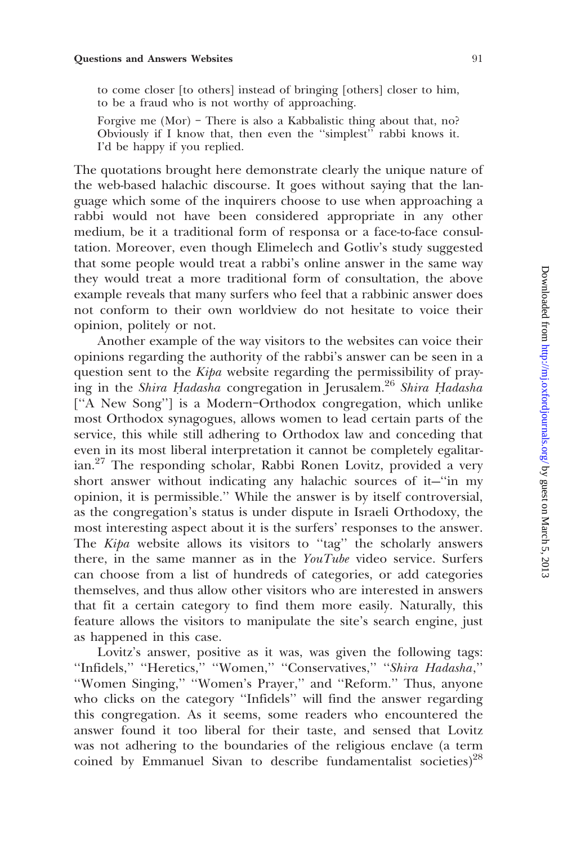to come closer [to others] instead of bringing [others] closer to him, to be a fraud who is not worthy of approaching.

Forgive me (Mor) – There is also a Kabbalistic thing about that, no? Obviously if I know that, then even the "simplest" rabbi knows it. I'd be happy if you replied.

The quotations brought here demonstrate clearly the unique nature of the web-based halachic discourse. It goes without saying that the language which some of the inquirers choose to use when approaching a rabbi would not have been considered appropriate in any other medium, be it a traditional form of responsa or a face-to-face consultation. Moreover, even though Elimelech and Gotliv's study suggested that some people would treat a rabbi's online answer in the same way they would treat a more traditional form of consultation, the above example reveals that many surfers who feel that a rabbinic answer does not conform to their own worldview do not hesitate to voice their opinion, politely or not.

Another example of the way visitors to the websites can voice their opinions regarding the authority of the rabbi's answer can be seen in a question sent to the Kipa website regarding the permissibility of praying in the Shira Hadasha congregation in Jerusalem.<sup>26</sup> Shira Hadasha [''A New Song''] is a Modern–Orthodox congregation, which unlike most Orthodox synagogues, allows women to lead certain parts of the service, this while still adhering to Orthodox law and conceding that even in its most liberal interpretation it cannot be completely egalitarian.27 The responding scholar, Rabbi Ronen Lovitz, provided a very short answer without indicating any halachic sources of it—''in my opinion, it is permissible.'' While the answer is by itself controversial, as the congregation's status is under dispute in Israeli Orthodoxy, the most interesting aspect about it is the surfers' responses to the answer. The Kipa website allows its visitors to "tag" the scholarly answers there, in the same manner as in the YouTube video service. Surfers can choose from a list of hundreds of categories, or add categories themselves, and thus allow other visitors who are interested in answers that fit a certain category to find them more easily. Naturally, this feature allows the visitors to manipulate the site's search engine, just as happened in this case.

Lovitz's answer, positive as it was, was given the following tags: ''Infidels,'' ''Heretics,'' ''Women,'' ''Conservatives,'' ''Shira Hadasha,'' ''Women Singing,'' ''Women's Prayer,'' and ''Reform.'' Thus, anyone who clicks on the category ''Infidels'' will find the answer regarding this congregation. As it seems, some readers who encountered the answer found it too liberal for their taste, and sensed that Lovitz was not adhering to the boundaries of the religious enclave (a term coined by Emmanuel Sivan to describe fundamentalist societies)<sup>28</sup>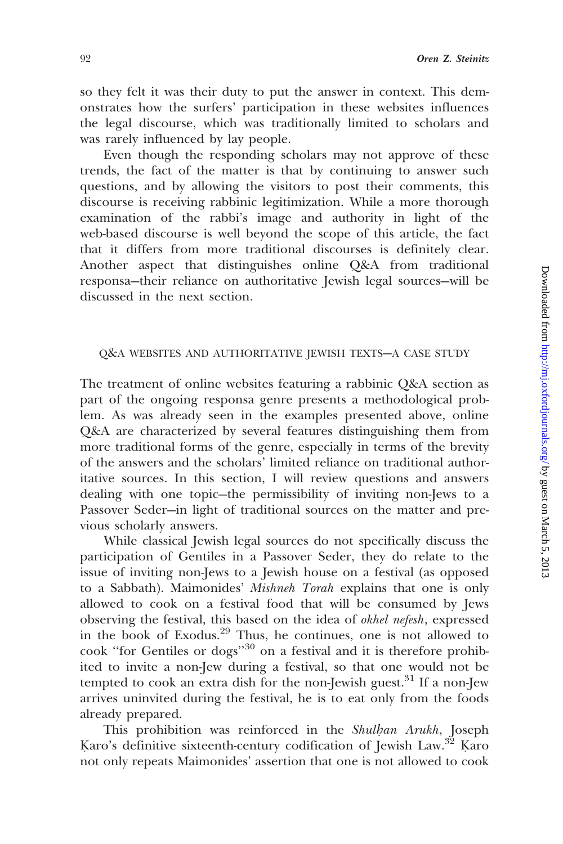so they felt it was their duty to put the answer in context. This demonstrates how the surfers' participation in these websites influences the legal discourse, which was traditionally limited to scholars and was rarely influenced by lay people.

Even though the responding scholars may not approve of these trends, the fact of the matter is that by continuing to answer such questions, and by allowing the visitors to post their comments, this discourse is receiving rabbinic legitimization. While a more thorough examination of the rabbi's image and authority in light of the web-based discourse is well beyond the scope of this article, the fact that it differs from more traditional discourses is definitely clear. Another aspect that distinguishes online Q&A from traditional responsa—their reliance on authoritative Jewish legal sources—will be discussed in the next section.

# Q&A WEBSITES AND AUTHORITATIVE JEWISH TEXTS—A CASE STUDY

The treatment of online websites featuring a rabbinic Q&A section as part of the ongoing responsa genre presents a methodological problem. As was already seen in the examples presented above, online Q&A are characterized by several features distinguishing them from more traditional forms of the genre, especially in terms of the brevity of the answers and the scholars' limited reliance on traditional authoritative sources. In this section, I will review questions and answers dealing with one topic—the permissibility of inviting non-Jews to a Passover Seder—in light of traditional sources on the matter and previous scholarly answers.

While classical Jewish legal sources do not specifically discuss the participation of Gentiles in a Passover Seder, they do relate to the issue of inviting non-Jews to a Jewish house on a festival (as opposed to a Sabbath). Maimonides' Mishneh Torah explains that one is only allowed to cook on a festival food that will be consumed by Jews observing the festival, this based on the idea of okhel nefesh, expressed in the book of Exodus.<sup>29</sup> Thus, he continues, one is not allowed to cook ''for Gentiles or dogs''<sup>30</sup> on a festival and it is therefore prohibited to invite a non-Jew during a festival, so that one would not be tempted to cook an extra dish for the non-Jewish guest.<sup>31</sup> If a non-Jew arrives uninvited during the festival, he is to eat only from the foods already prepared.

This prohibition was reinforced in the Shulhan Arukh, Joseph Karo's definitive sixteenth-century codification of Jewish Law.<sup>32</sup> Karo not only repeats Maimonides' assertion that one is not allowed to cook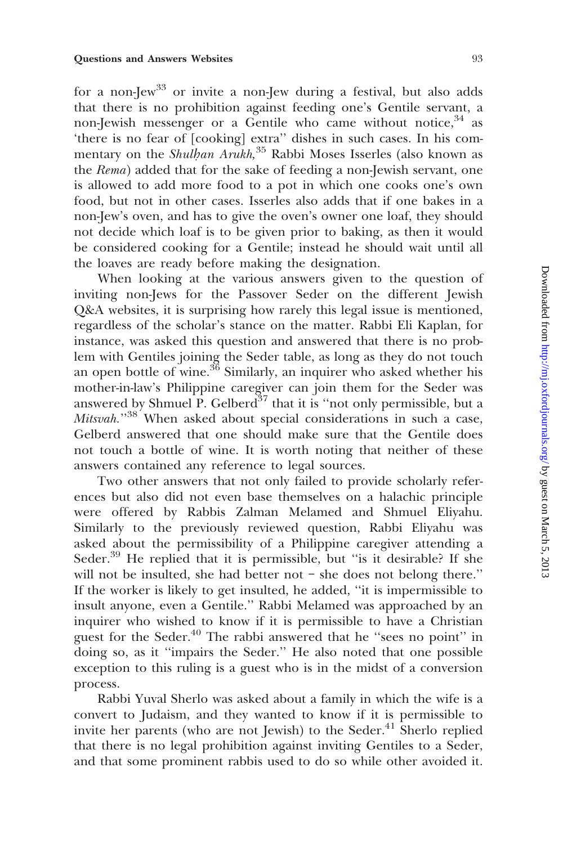for a non-Jew<sup>33</sup> or invite a non-Jew during a festival, but also adds that there is no prohibition against feeding one's Gentile servant, a non-Jewish messenger or a Gentile who came without notice,  $34$  as 'there is no fear of [cooking] extra'' dishes in such cases. In his commentary on the Shulhan Arukh,<sup>35</sup> Rabbi Moses Isserles (also known as the Rema) added that for the sake of feeding a non-Jewish servant, one is allowed to add more food to a pot in which one cooks one's own food, but not in other cases. Isserles also adds that if one bakes in a non-Jew's oven, and has to give the oven's owner one loaf, they should not decide which loaf is to be given prior to baking, as then it would be considered cooking for a Gentile; instead he should wait until all the loaves are ready before making the designation.

When looking at the various answers given to the question of inviting non-Jews for the Passover Seder on the different Jewish Q&A websites, it is surprising how rarely this legal issue is mentioned, regardless of the scholar's stance on the matter. Rabbi Eli Kaplan, for instance, was asked this question and answered that there is no problem with Gentiles joining the Seder table, as long as they do not touch an open bottle of wine.<sup>36</sup> Similarly, an inquirer who asked whether his mother-in-law's Philippine caregiver can join them for the Seder was answered by Shmuel P. Gelberd $37$  that it is "not only permissible, but a Mitsvah.''38 When asked about special considerations in such a case, Gelberd answered that one should make sure that the Gentile does not touch a bottle of wine. It is worth noting that neither of these answers contained any reference to legal sources.

Two other answers that not only failed to provide scholarly references but also did not even base themselves on a halachic principle were offered by Rabbis Zalman Melamed and Shmuel Eliyahu. Similarly to the previously reviewed question, Rabbi Eliyahu was asked about the permissibility of a Philippine caregiver attending a Seder.<sup>39</sup> He replied that it is permissible, but "is it desirable? If she will not be insulted, she had better not – she does not belong there." If the worker is likely to get insulted, he added, ''it is impermissible to insult anyone, even a Gentile.'' Rabbi Melamed was approached by an inquirer who wished to know if it is permissible to have a Christian guest for the Seder.<sup>40</sup> The rabbi answered that he "sees no point" in doing so, as it ''impairs the Seder.'' He also noted that one possible exception to this ruling is a guest who is in the midst of a conversion process.

Rabbi Yuval Sherlo was asked about a family in which the wife is a convert to Judaism, and they wanted to know if it is permissible to invite her parents (who are not Jewish) to the Seder. $41$  Sherlo replied that there is no legal prohibition against inviting Gentiles to a Seder, and that some prominent rabbis used to do so while other avoided it.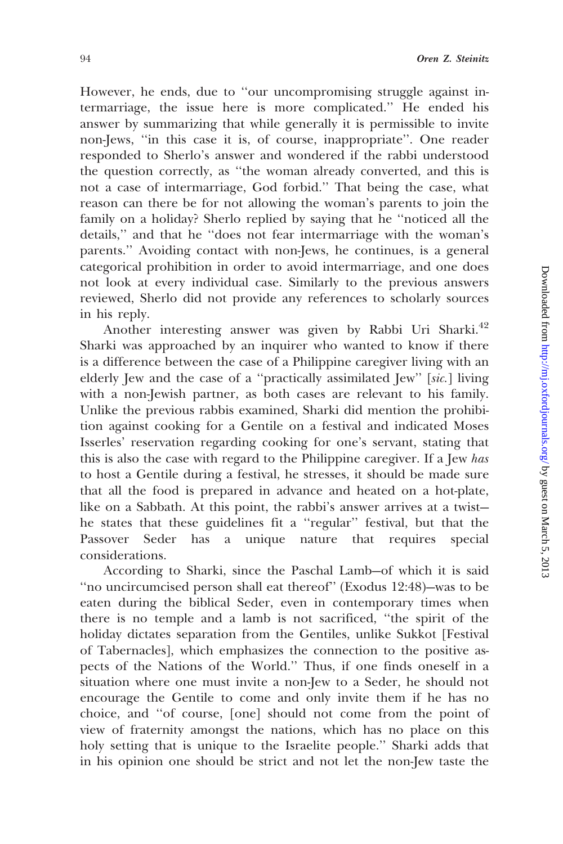However, he ends, due to ''our uncompromising struggle against intermarriage, the issue here is more complicated.'' He ended his answer by summarizing that while generally it is permissible to invite non-Jews, ''in this case it is, of course, inappropriate''. One reader responded to Sherlo's answer and wondered if the rabbi understood the question correctly, as ''the woman already converted, and this is not a case of intermarriage, God forbid.'' That being the case, what reason can there be for not allowing the woman's parents to join the family on a holiday? Sherlo replied by saying that he ''noticed all the details,'' and that he ''does not fear intermarriage with the woman's parents.'' Avoiding contact with non-Jews, he continues, is a general categorical prohibition in order to avoid intermarriage, and one does not look at every individual case. Similarly to the previous answers reviewed, Sherlo did not provide any references to scholarly sources in his reply.

Another interesting answer was given by Rabbi Uri Sharki.<sup>42</sup> Sharki was approached by an inquirer who wanted to know if there is a difference between the case of a Philippine caregiver living with an elderly Jew and the case of a ''practically assimilated Jew'' [sic.] living with a non-Jewish partner, as both cases are relevant to his family. Unlike the previous rabbis examined, Sharki did mention the prohibition against cooking for a Gentile on a festival and indicated Moses Isserles' reservation regarding cooking for one's servant, stating that this is also the case with regard to the Philippine caregiver. If a Jew has to host a Gentile during a festival, he stresses, it should be made sure that all the food is prepared in advance and heated on a hot-plate, like on a Sabbath. At this point, the rabbi's answer arrives at a twist he states that these guidelines fit a ''regular'' festival, but that the Passover Seder has a unique nature that requires special considerations.

According to Sharki, since the Paschal Lamb—of which it is said ''no uncircumcised person shall eat thereof'' (Exodus 12:48)—was to be eaten during the biblical Seder, even in contemporary times when there is no temple and a lamb is not sacrificed, ''the spirit of the holiday dictates separation from the Gentiles, unlike Sukkot [Festival of Tabernacles], which emphasizes the connection to the positive aspects of the Nations of the World.'' Thus, if one finds oneself in a situation where one must invite a non-Jew to a Seder, he should not encourage the Gentile to come and only invite them if he has no choice, and ''of course, [one] should not come from the point of view of fraternity amongst the nations, which has no place on this holy setting that is unique to the Israelite people.'' Sharki adds that in his opinion one should be strict and not let the non-Jew taste the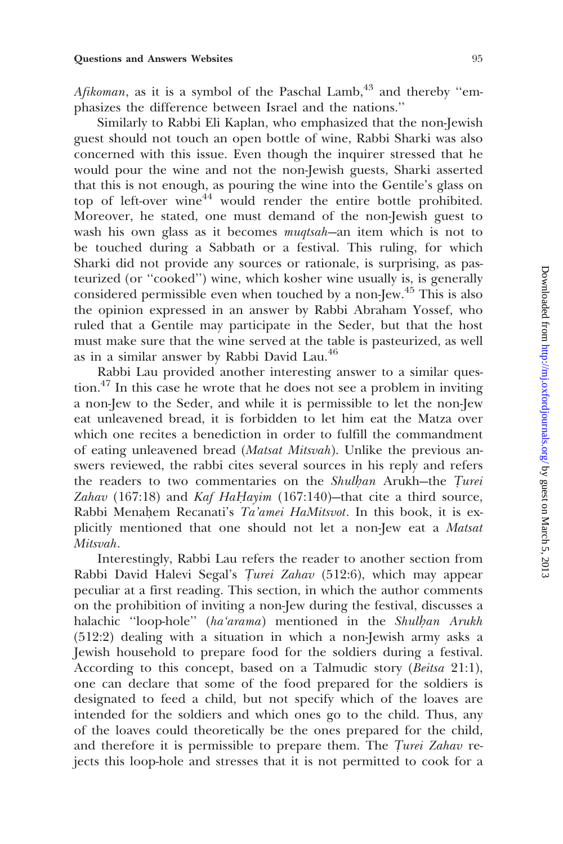Afikoman, as it is a symbol of the Paschal Lamb,  $43$  and thereby "emphasizes the difference between Israel and the nations.''

Similarly to Rabbi Eli Kaplan, who emphasized that the non-Jewish guest should not touch an open bottle of wine, Rabbi Sharki was also concerned with this issue. Even though the inquirer stressed that he would pour the wine and not the non-Jewish guests, Sharki asserted that this is not enough, as pouring the wine into the Gentile's glass on top of left-over wine<sup>44</sup> would render the entire bottle prohibited. Moreover, he stated, one must demand of the non-Jewish guest to wash his own glass as it becomes *muqtsah*—an item which is not to be touched during a Sabbath or a festival. This ruling, for which Sharki did not provide any sources or rationale, is surprising, as pasteurized (or ''cooked'') wine, which kosher wine usually is, is generally considered permissible even when touched by a non-Jew.<sup>45</sup> This is also the opinion expressed in an answer by Rabbi Abraham Yossef, who ruled that a Gentile may participate in the Seder, but that the host must make sure that the wine served at the table is pasteurized, as well as in a similar answer by Rabbi David Lau.<sup>46</sup>

Rabbi Lau provided another interesting answer to a similar question.47 In this case he wrote that he does not see a problem in inviting a non-Jew to the Seder, and while it is permissible to let the non-Jew eat unleavened bread, it is forbidden to let him eat the Matza over which one recites a benediction in order to fulfill the commandment of eating unleavened bread (Matsat Mitsvah). Unlike the previous answers reviewed, the rabbi cites several sources in his reply and refers the readers to two commentaries on the Shulban Arukh-the Turei Zahav (167:18) and Kaf HaHayim (167:140)—that cite a third source, Rabbi Menahem Recanati's Ta'amei HaMitsvot. In this book, it is explicitly mentioned that one should not let a non-Jew eat a Matsat Mitsvah.

Interestingly, Rabbi Lau refers the reader to another section from Rabbi David Halevi Segal's Furei Zahav (512:6), which may appear peculiar at a first reading. This section, in which the author comments on the prohibition of inviting a non-Jew during the festival, discusses a halachic "loop-hole" (ha'arama) mentioned in the Shulhan Arukh (512:2) dealing with a situation in which a non-Jewish army asks a Jewish household to prepare food for the soldiers during a festival. According to this concept, based on a Talmudic story (Beitsa 21:1), one can declare that some of the food prepared for the soldiers is designated to feed a child, but not specify which of the loaves are intended for the soldiers and which ones go to the child. Thus, any of the loaves could theoretically be the ones prepared for the child, and therefore it is permissible to prepare them. The Furei Zahav rejects this loop-hole and stresses that it is not permitted to cook for a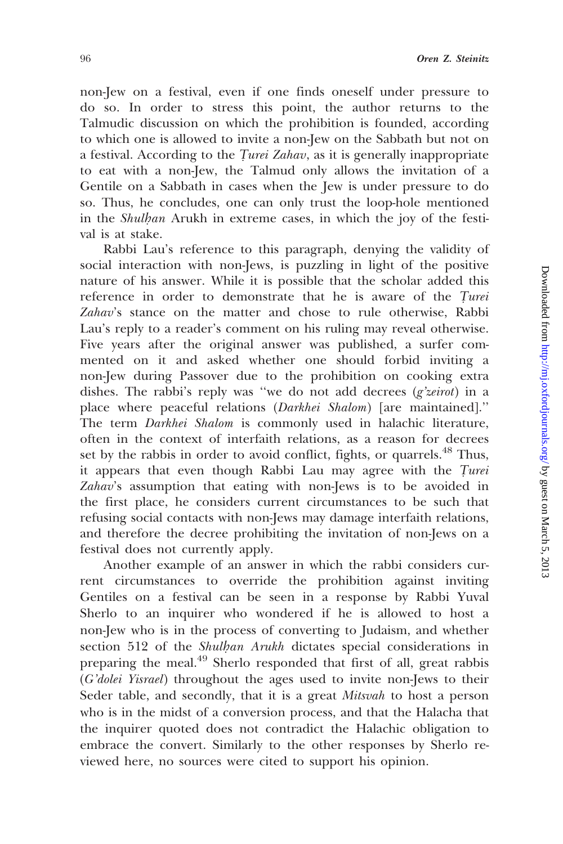non-Jew on a festival, even if one finds oneself under pressure to do so. In order to stress this point, the author returns to the Talmudic discussion on which the prohibition is founded, according to which one is allowed to invite a non-Jew on the Sabbath but not on a festival. According to the Furei Zahav, as it is generally inappropriate to eat with a non-Jew, the Talmud only allows the invitation of a Gentile on a Sabbath in cases when the Jew is under pressure to do so. Thus, he concludes, one can only trust the loop-hole mentioned in the Shulhan Arukh in extreme cases, in which the joy of the festival is at stake.

Rabbi Lau's reference to this paragraph, denying the validity of social interaction with non-Jews, is puzzling in light of the positive nature of his answer. While it is possible that the scholar added this reference in order to demonstrate that he is aware of the Furei Zahav's stance on the matter and chose to rule otherwise, Rabbi Lau's reply to a reader's comment on his ruling may reveal otherwise. Five years after the original answer was published, a surfer commented on it and asked whether one should forbid inviting a non-Jew during Passover due to the prohibition on cooking extra dishes. The rabbi's reply was ''we do not add decrees (g'zeirot) in a place where peaceful relations (Darkhei Shalom) [are maintained].'' The term Darkhei Shalom is commonly used in halachic literature, often in the context of interfaith relations, as a reason for decrees set by the rabbis in order to avoid conflict, fights, or quarrels.<sup>48</sup> Thus, it appears that even though Rabbi Lau may agree with the Furei Zahav's assumption that eating with non-Jews is to be avoided in the first place, he considers current circumstances to be such that refusing social contacts with non-Jews may damage interfaith relations, and therefore the decree prohibiting the invitation of non-Jews on a festival does not currently apply.

Another example of an answer in which the rabbi considers current circumstances to override the prohibition against inviting Gentiles on a festival can be seen in a response by Rabbi Yuval Sherlo to an inquirer who wondered if he is allowed to host a non-Jew who is in the process of converting to Judaism, and whether section 512 of the Shulhan Arukh dictates special considerations in preparing the meal.49 Sherlo responded that first of all, great rabbis (G'dolei Yisrael) throughout the ages used to invite non-Jews to their Seder table, and secondly, that it is a great Mitsvah to host a person who is in the midst of a conversion process, and that the Halacha that the inquirer quoted does not contradict the Halachic obligation to embrace the convert. Similarly to the other responses by Sherlo reviewed here, no sources were cited to support his opinion.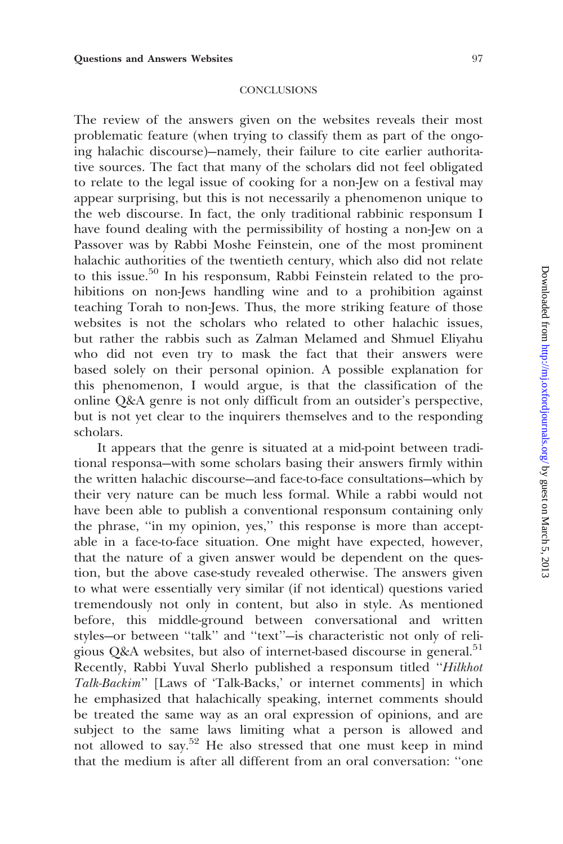## **CONCLUSIONS**

The review of the answers given on the websites reveals their most problematic feature (when trying to classify them as part of the ongoing halachic discourse)—namely, their failure to cite earlier authoritative sources. The fact that many of the scholars did not feel obligated to relate to the legal issue of cooking for a non-Jew on a festival may appear surprising, but this is not necessarily a phenomenon unique to the web discourse. In fact, the only traditional rabbinic responsum I have found dealing with the permissibility of hosting a non-Jew on a Passover was by Rabbi Moshe Feinstein, one of the most prominent halachic authorities of the twentieth century, which also did not relate to this issue.<sup>50</sup> In his responsum, Rabbi Feinstein related to the prohibitions on non-Jews handling wine and to a prohibition against teaching Torah to non-Jews. Thus, the more striking feature of those websites is not the scholars who related to other halachic issues, but rather the rabbis such as Zalman Melamed and Shmuel Eliyahu who did not even try to mask the fact that their answers were based solely on their personal opinion. A possible explanation for this phenomenon, I would argue, is that the classification of the online Q&A genre is not only difficult from an outsider's perspective, but is not yet clear to the inquirers themselves and to the responding scholars.

It appears that the genre is situated at a mid-point between traditional responsa—with some scholars basing their answers firmly within the written halachic discourse—and face-to-face consultations—which by their very nature can be much less formal. While a rabbi would not have been able to publish a conventional responsum containing only the phrase, ''in my opinion, yes,'' this response is more than acceptable in a face-to-face situation. One might have expected, however, that the nature of a given answer would be dependent on the question, but the above case-study revealed otherwise. The answers given to what were essentially very similar (if not identical) questions varied tremendously not only in content, but also in style. As mentioned before, this middle-ground between conversational and written styles—or between ''talk'' and ''text''—is characteristic not only of religious Q&A websites, but also of internet-based discourse in general. $51$ Recently, Rabbi Yuval Sherlo published a responsum titled ''Hilkhot Talk-Backim'' [Laws of 'Talk-Backs,' or internet comments] in which he emphasized that halachically speaking, internet comments should be treated the same way as an oral expression of opinions, and are subject to the same laws limiting what a person is allowed and not allowed to say.<sup>52</sup> He also stressed that one must keep in mind that the medium is after all different from an oral conversation: ''one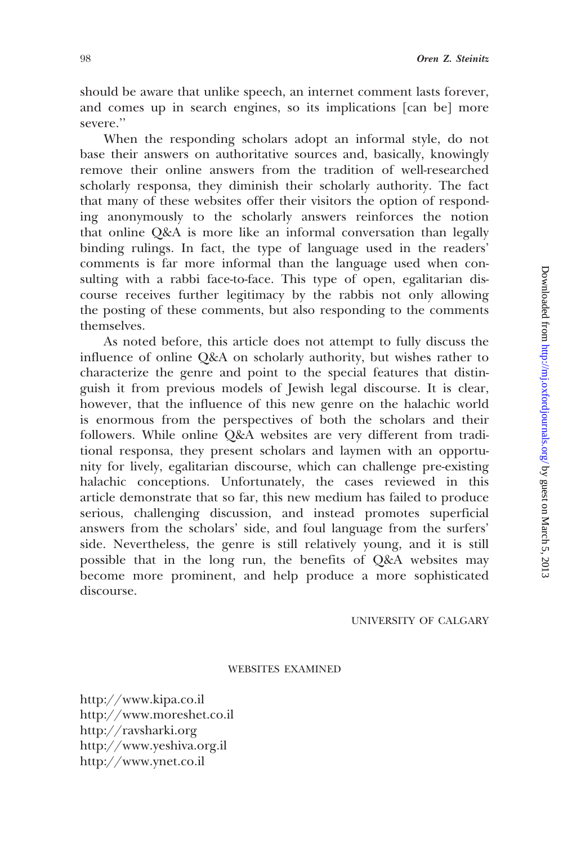should be aware that unlike speech, an internet comment lasts forever, and comes up in search engines, so its implications [can be] more severe.''

When the responding scholars adopt an informal style, do not base their answers on authoritative sources and, basically, knowingly remove their online answers from the tradition of well-researched scholarly responsa, they diminish their scholarly authority. The fact that many of these websites offer their visitors the option of responding anonymously to the scholarly answers reinforces the notion that online Q&A is more like an informal conversation than legally binding rulings. In fact, the type of language used in the readers' comments is far more informal than the language used when consulting with a rabbi face-to-face. This type of open, egalitarian discourse receives further legitimacy by the rabbis not only allowing the posting of these comments, but also responding to the comments themselves.

As noted before, this article does not attempt to fully discuss the influence of online Q&A on scholarly authority, but wishes rather to characterize the genre and point to the special features that distinguish it from previous models of Jewish legal discourse. It is clear, however, that the influence of this new genre on the halachic world is enormous from the perspectives of both the scholars and their followers. While online Q&A websites are very different from traditional responsa, they present scholars and laymen with an opportunity for lively, egalitarian discourse, which can challenge pre-existing halachic conceptions. Unfortunately, the cases reviewed in this article demonstrate that so far, this new medium has failed to produce serious, challenging discussion, and instead promotes superficial answers from the scholars' side, and foul language from the surfers' side. Nevertheless, the genre is still relatively young, and it is still possible that in the long run, the benefits of Q&A websites may become more prominent, and help produce a more sophisticated discourse.

#### UNIVERSITY OF CALGARY

#### WEBSITES EXAMINED

http://www.kipa.co.il http://www.moreshet.co.il http://ravsharki.org http://www.yeshiva.org.il http://www.ynet.co.il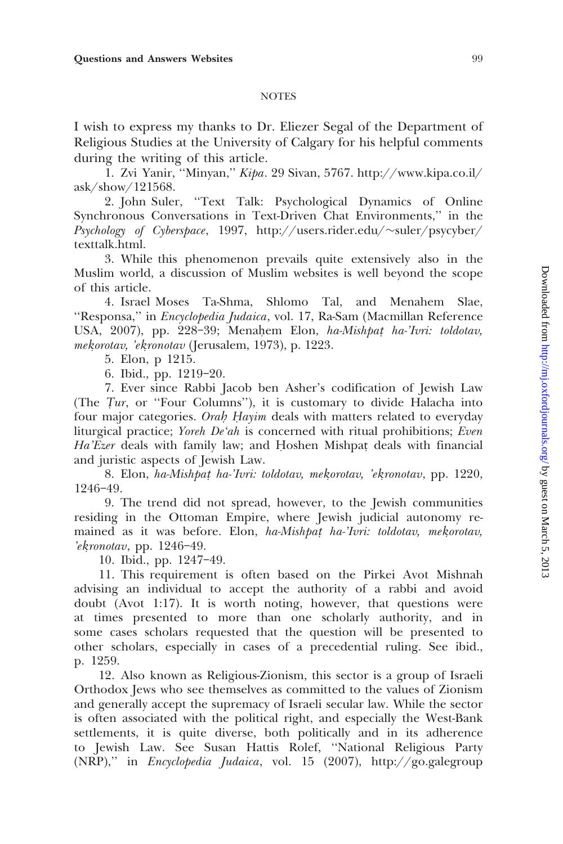# **NOTES**

I wish to express my thanks to Dr. Eliezer Segal of the Department of Religious Studies at the University of Calgary for his helpful comments during the writing of this article.

1. Zvi Yanir, ''Minyan,'' Kipa. 29 Sivan, 5767. http://www.kipa.co.il/ ask/show/121568.

2. John Suler, ''Text Talk: Psychological Dynamics of Online Synchronous Conversations in Text-Driven Chat Environments,'' in the Psychology of Cyberspace, 1997, http://users.rider.edu/~suler/psycyber/ texttalk.html.

3. While this phenomenon prevails quite extensively also in the Muslim world, a discussion of Muslim websites is well beyond the scope of this article.

4. Israel Moses Ta-Shma, Shlomo Tal, and Menahem Slae, ''Responsa,'' in Encyclopedia Judaica, vol. 17, Ra-Sam (Macmillan Reference USA, 2007), pp. 228-39; Menahem Elon, ha-Mishpat ha-'Ivri: toldotav, mekorotav, 'ekronotav (Jerusalem, 1973), p. 1223.

5. Elon, p 1215.

6. Ibid., pp. 1219–20.

7. Ever since Rabbi Jacob ben Asher's codification of Jewish Law (The Fur, or ''Four Columns''), it is customary to divide Halacha into four major categories. Orah Hayim deals with matters related to everyday liturgical practice; Yoreh De'ah is concerned with ritual prohibitions; Even Ha'Ezer deals with family law; and Hoshen Mishpat deals with financial and juristic aspects of Jewish Law.

8. Elon, ha-Mishpat ha-'Ivri: toldotav, mekorotav, 'ekronotav, pp. 1220, 1246–49.

9. The trend did not spread, however, to the Jewish communities residing in the Ottoman Empire, where Jewish judicial autonomy remained as it was before. Elon, ha-Mishpat ha-'Ivri: toldotav, mekorotav,  $'ekronotav$ , pp. 1246–49.

10. Ibid., pp. 1247–49.

11. This requirement is often based on the Pirkei Avot Mishnah advising an individual to accept the authority of a rabbi and avoid doubt (Avot 1:17). It is worth noting, however, that questions were at times presented to more than one scholarly authority, and in some cases scholars requested that the question will be presented to other scholars, especially in cases of a precedential ruling. See ibid., p. 1259.

12. Also known as Religious-Zionism, this sector is a group of Israeli Orthodox Jews who see themselves as committed to the values of Zionism and generally accept the supremacy of Israeli secular law. While the sector is often associated with the political right, and especially the West-Bank settlements, it is quite diverse, both politically and in its adherence to Jewish Law. See Susan Hattis Rolef, ''National Religious Party (NRP),'' in Encyclopedia Judaica, vol. 15 (2007), http://go.galegroup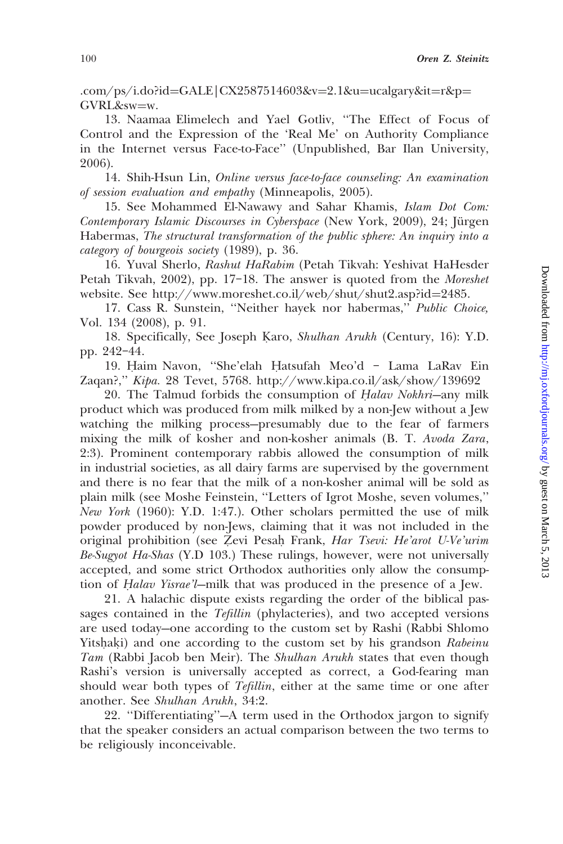.com/ps/i.do?id=GALE|CX2587514603&v=2.1&u=ucalgary&it=r&p= GVRL&sw=w.

13. Naamaa Elimelech and Yael Gotliv, ''The Effect of Focus of Control and the Expression of the 'Real Me' on Authority Compliance in the Internet versus Face-to-Face'' (Unpublished, Bar Ilan University, 2006).

14. Shih-Hsun Lin, Online versus face-to-face counseling: An examination of session evaluation and empathy (Minneapolis, 2005).

15. See Mohammed El-Nawawy and Sahar Khamis, Islam Dot Com: Contemporary Islamic Discourses in Cyberspace (New York, 2009), 24; Jürgen Habermas, The structural transformation of the public sphere: An inquiry into a category of bourgeois society (1989), p. 36.

16. Yuval Sherlo, Rashut HaRabim (Petah Tikvah: Yeshivat HaHesder Petah Tikvah, 2002), pp. 17–18. The answer is quoted from the Moreshet website. See http://www.moreshet.co.il/web/shut/shut2.asp?id=2485.

17. Cass R. Sunstein, "Neither hayek nor habermas," Public Choice, Vol. 134 (2008), p. 91.

18. Specifically, See Joseph Karo, Shulhan Arukh (Century, 16): Y.D. pp. 242–44.

19. Eaim Navon, ''She'elah Eatsufah Meo'd – Lama LaRav Ein Zaqan?,'' Kipa. 28 Tevet, 5768. http://www.kipa.co.il/ask/show/139692

20. The Talmud forbids the consumption of Halav Nokhri-any milk product which was produced from milk milked by a non-Jew without a Jew watching the milking process—presumably due to the fear of farmers mixing the milk of kosher and non-kosher animals (B. T. Avoda Zara, 2:3). Prominent contemporary rabbis allowed the consumption of milk in industrial societies, as all dairy farms are supervised by the government and there is no fear that the milk of a non-kosher animal will be sold as plain milk (see Moshe Feinstein, ''Letters of Igrot Moshe, seven volumes,'' New York (1960): Y.D. 1:47.). Other scholars permitted the use of milk powder produced by non-Jews, claiming that it was not included in the original prohibition (see Zevi Pesah Frank, Har Tsevi: He'arot U-Ve'urim Be-Sugyot Ha-Shas (Y.D 103.) These rulings, however, were not universally accepted, and some strict Orthodox authorities only allow the consumption of Halav Yisrae'l-milk that was produced in the presence of a Jew.

21. A halachic dispute exists regarding the order of the biblical passages contained in the Tefillin (phylacteries), and two accepted versions are used today—one according to the custom set by Rashi (Rabbi Shlomo Yitshaki) and one according to the custom set by his grandson Rabeinu Tam (Rabbi Jacob ben Meir). The Shulhan Arukh states that even though Rashi's version is universally accepted as correct, a God-fearing man should wear both types of Tefillin, either at the same time or one after another. See Shulhan Arukh, 34:2.

22. ''Differentiating''—A term used in the Orthodox jargon to signify that the speaker considers an actual comparison between the two terms to be religiously inconceivable.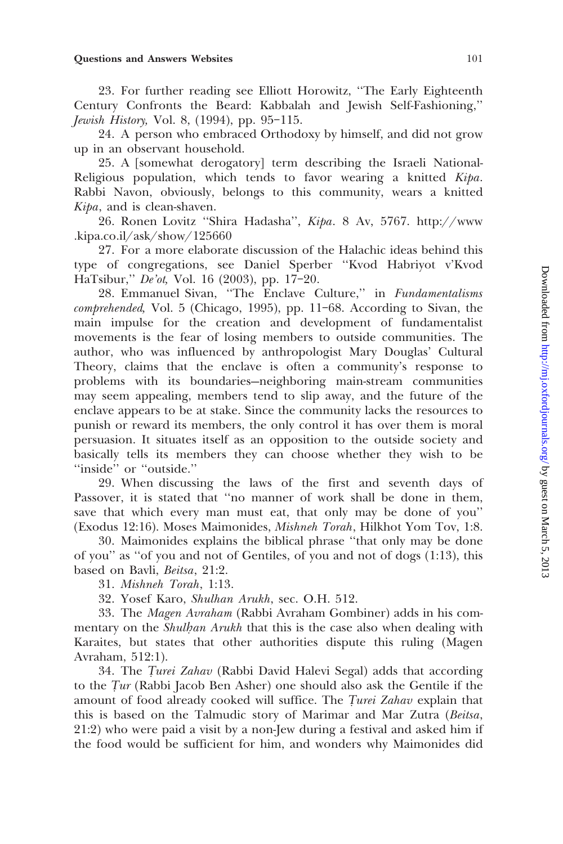### Questions and Answers Websites 101

23. For further reading see Elliott Horowitz, ''The Early Eighteenth Century Confronts the Beard: Kabbalah and Jewish Self-Fashioning,'' Jewish History, Vol. 8, (1994), pp. 95–115.

24. A person who embraced Orthodoxy by himself, and did not grow up in an observant household.

25. A [somewhat derogatory] term describing the Israeli National-Religious population, which tends to favor wearing a knitted Kipa. Rabbi Navon, obviously, belongs to this community, wears a knitted Kipa, and is clean-shaven.

26. Ronen Lovitz ''Shira Hadasha'', Kipa. 8 Av, 5767. http://www .kipa.co.il/ask/show/125660

27. For a more elaborate discussion of the Halachic ideas behind this type of congregations, see Daniel Sperber ''Kvod Habriyot v'Kvod HaTsibur,'' De'ot, Vol. 16 (2003), pp. 17–20.

28. Emmanuel Sivan, ''The Enclave Culture,'' in Fundamentalisms comprehended, Vol. 5 (Chicago, 1995), pp. 11–68. According to Sivan, the main impulse for the creation and development of fundamentalist movements is the fear of losing members to outside communities. The author, who was influenced by anthropologist Mary Douglas' Cultural Theory, claims that the enclave is often a community's response to problems with its boundaries—neighboring main-stream communities may seem appealing, members tend to slip away, and the future of the enclave appears to be at stake. Since the community lacks the resources to punish or reward its members, the only control it has over them is moral persuasion. It situates itself as an opposition to the outside society and basically tells its members they can choose whether they wish to be ''inside'' or ''outside.''

29. When discussing the laws of the first and seventh days of Passover, it is stated that ''no manner of work shall be done in them, save that which every man must eat, that only may be done of you'' (Exodus 12:16). Moses Maimonides, Mishneh Torah, Hilkhot Yom Tov, 1:8.

30. Maimonides explains the biblical phrase ''that only may be done of you'' as ''of you and not of Gentiles, of you and not of dogs (1:13), this based on Bavli, Beitsa, 21:2.

31. Mishneh Torah, 1:13.

32. Yosef Karo, Shulhan Arukh, sec. O.H. 512.

33. The Magen Avraham (Rabbi Avraham Gombiner) adds in his commentary on the Shulhan Arukh that this is the case also when dealing with Karaites, but states that other authorities dispute this ruling (Magen Avraham, 512:1).

34. The Furei Zahav (Rabbi David Halevi Segal) adds that according to the Fur (Rabbi Jacob Ben Asher) one should also ask the Gentile if the amount of food already cooked will suffice. The Furei Zahav explain that this is based on the Talmudic story of Marimar and Mar Zutra (Beitsa, 21:2) who were paid a visit by a non-Jew during a festival and asked him if the food would be sufficient for him, and wonders why Maimonides did